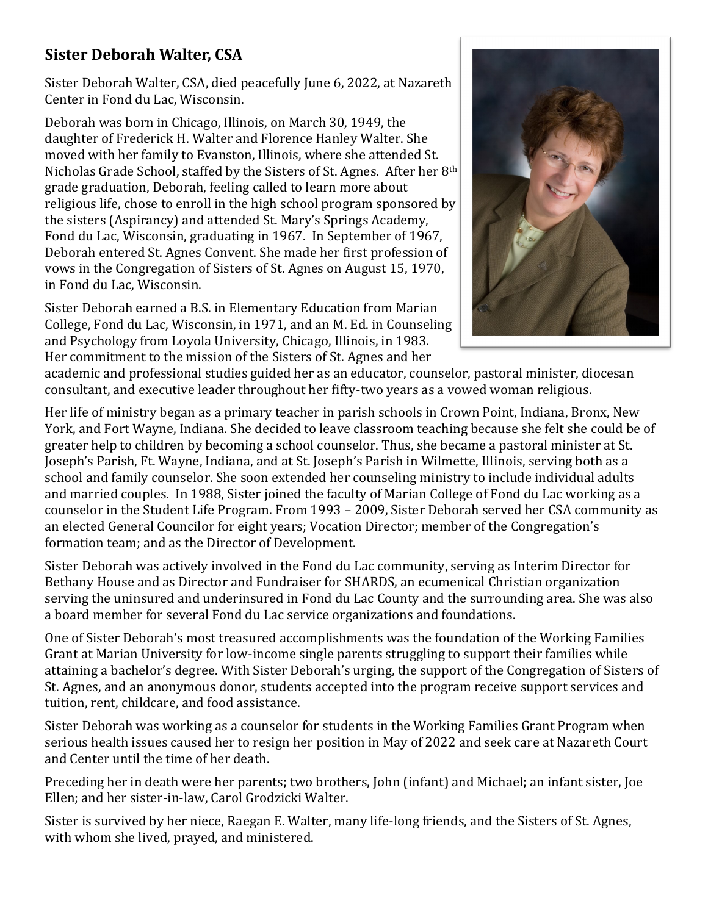## **Sister Deborah Walter, CSA**

Sister Deborah Walter, CSA, died peacefully June 6, 2022, at Nazareth Center in Fond du Lac, Wisconsin.

Deborah was born in Chicago, Illinois, on March 30, 1949, the daughter of Frederick H. Walter and Florence Hanley Walter. She moved with her family to Evanston, Illinois, where she attended St. Nicholas Grade School, staffed by the Sisters of St. Agnes. After her 8th grade graduation, Deborah, feeling called to learn more about religious life, chose to enroll in the high school program sponsored by the sisters (Aspirancy) and attended St. Mary's Springs Academy, Fond du Lac, Wisconsin, graduating in 1967. In September of 1967, Deborah entered St. Agnes Convent. She made her first profession of vows in the Congregation of Sisters of St. Agnes on August 15, 1970, in Fond du Lac, Wisconsin.

Sister Deborah earned a B.S. in Elementary Education from Marian College, Fond du Lac, Wisconsin, in 1971, and an M. Ed. in Counseling and Psychology from Loyola University, Chicago, Illinois, in 1983. Her commitment to the mission of the Sisters of St. Agnes and her



academic and professional studies guided her as an educator, counselor, pastoral minister, diocesan consultant, and executive leader throughout her fifty-two years as a vowed woman religious.

Her life of ministry began as a primary teacher in parish schools in Crown Point, Indiana, Bronx, New York, and Fort Wayne, Indiana. She decided to leave classroom teaching because she felt she could be of greater help to children by becoming a school counselor. Thus, she became a pastoral minister at St. Joseph's Parish, Ft. Wayne, Indiana, and at St. Joseph's Parish in Wilmette, Illinois, serving both as a school and family counselor. She soon extended her counseling ministry to include individual adults and married couples. In 1988, Sister joined the faculty of Marian College of Fond du Lac working as a counselor in the Student Life Program. From 1993 – 2009, Sister Deborah served her CSA community as an elected General Councilor for eight years; Vocation Director; member of the Congregation's formation team; and as the Director of Development.

Sister Deborah was actively involved in the Fond du Lac community, serving as Interim Director for Bethany House and as Director and Fundraiser for SHARDS, an ecumenical Christian organization serving the uninsured and underinsured in Fond du Lac County and the surrounding area. She was also a board member for several Fond du Lac service organizations and foundations.

One of Sister Deborah's most treasured accomplishments was the foundation of the Working Families Grant at Marian University for low-income single parents struggling to support their families while attaining a bachelor's degree. With Sister Deborah's urging, the support of the Congregation of Sisters of St. Agnes, and an anonymous donor, students accepted into the program receive support services and tuition, rent, childcare, and food assistance.

Sister Deborah was working as a counselor for students in the Working Families Grant Program when serious health issues caused her to resign her position in May of 2022 and seek care at Nazareth Court and Center until the time of her death.

Preceding her in death were her parents; two brothers, John (infant) and Michael; an infant sister, Joe Ellen; and her sister-in-law, Carol Grodzicki Walter.

Sister is survived by her niece, Raegan E. Walter, many life-long friends, and the Sisters of St. Agnes, with whom she lived, prayed, and ministered.